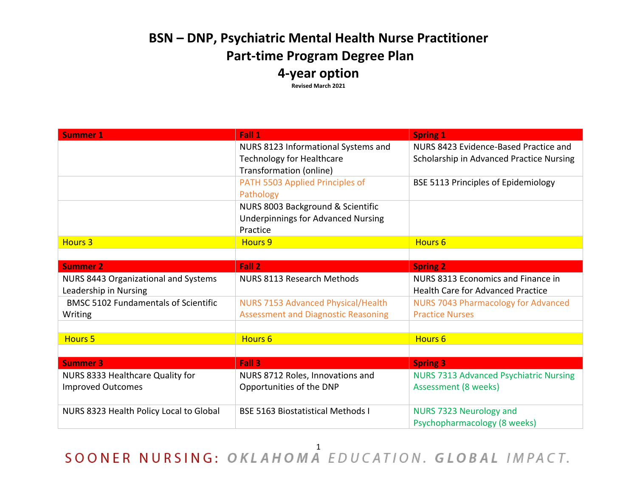## **BSN – DNP, Psychiatric Mental Health Nurse Practitioner Part-time Program Degree Plan 4-year option**

**Revised March 2021**

| <b>Summer 1</b>                                               | Fall 1                                                                         | <b>Spring 1</b>                                                                |
|---------------------------------------------------------------|--------------------------------------------------------------------------------|--------------------------------------------------------------------------------|
|                                                               | NURS 8123 Informational Systems and                                            | NURS 8423 Evidence-Based Practice and                                          |
|                                                               | <b>Technology for Healthcare</b><br>Transformation (online)                    | Scholarship in Advanced Practice Nursing                                       |
|                                                               | PATH 5503 Applied Principles of<br>Pathology                                   | <b>BSE 5113 Principles of Epidemiology</b>                                     |
|                                                               | NURS 8003 Background & Scientific<br><b>Underpinnings for Advanced Nursing</b> |                                                                                |
|                                                               | Practice                                                                       |                                                                                |
| <b>Hours 3</b>                                                | <b>Hours 9</b>                                                                 | <b>Hours 6</b>                                                                 |
|                                                               |                                                                                |                                                                                |
| <b>Summer 2</b>                                               | Fall 2                                                                         | <b>Spring 2</b>                                                                |
| NURS 8443 Organizational and Systems<br>Leadership in Nursing | NURS 8113 Research Methods                                                     | NURS 8313 Economics and Finance in<br><b>Health Care for Advanced Practice</b> |
| <b>BMSC 5102 Fundamentals of Scientific</b>                   | <b>NURS 7153 Advanced Physical/Health</b>                                      | <b>NURS 7043 Pharmacology for Advanced</b>                                     |
| Writing                                                       | <b>Assessment and Diagnostic Reasoning</b>                                     | <b>Practice Nurses</b>                                                         |
|                                                               |                                                                                |                                                                                |
| <b>Hours 5</b>                                                | Hours 6                                                                        | <b>Hours 6</b>                                                                 |
|                                                               |                                                                                |                                                                                |
| <b>Summer 3</b>                                               | Fall 3                                                                         | <b>Spring 3</b>                                                                |
| NURS 8333 Healthcare Quality for                              | NURS 8712 Roles, Innovations and                                               | <b>NURS 7313 Advanced Psychiatric Nursing</b>                                  |
| <b>Improved Outcomes</b>                                      | Opportunities of the DNP                                                       | Assessment (8 weeks)                                                           |
| NURS 8323 Health Policy Local to Global                       | <b>BSE 5163 Biostatistical Methods I</b>                                       | NURS 7323 Neurology and<br>Psychopharmacology (8 weeks)                        |

SOONER NURSING: OKLAHOMA EDUCATION. GLOBAL IMPACT.